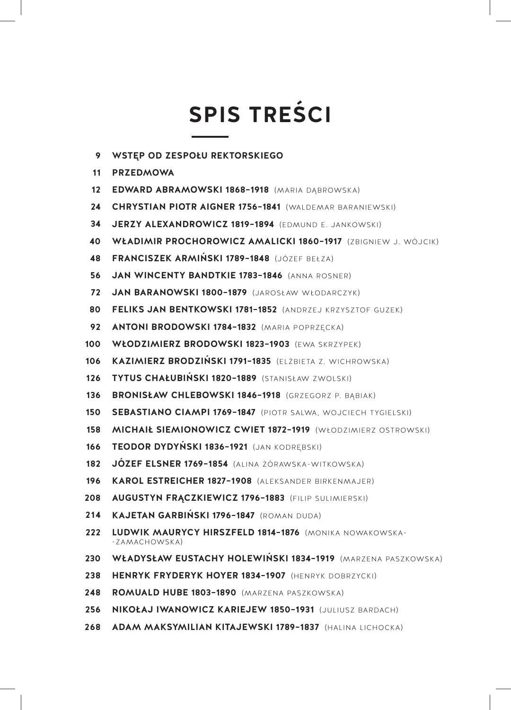## **SPIS TREŚCI**

- **WSTĘP OD ZESPOŁU REKTORSKIEGO 9**
- **PRZEDMOWA 11**
- **EDWARD ABRAMOWSKI 1868–1918** (MARIA DĄBROWSKA) **12**
- **CHRYSTIAN PIOTR AIGNER 1756–1841** (WALDEMAR BARANIEWSKI) **24**
- **JERZY ALEXANDROWICZ 1819–1894** (EDMUND E. JANKOWSKI) **34**
- **WŁADIMIR PROCHOROWICZ AMALICKI 1860–1917** (ZBIGNIEW J. WÓJCIK) **40**
- **FRANCISZEK ARMIŃSKI 1789–1848** (JÓZEF BEŁZA) **48**
- **JAN WINCENTY BANDTKIE 1783–1846** (ANNA ROSNER) **56**
- **JAN BARANOWSKI 1800–1879** (JAROSŁAW WŁODARCZYK) **72**
- **FELIKS JAN BENTKOWSKI 1781–1852** (ANDRZEJ KRZYSZTOF GUZEK) **80**
- **ANTONI BRODOWSKI 1784–1832** (MARIA POPRZĘCKA) **92**
- **WŁODZIMIERZ BRODOWSKI 1823–1903** (EWA SKRZYPEK) **100**
- **KAZIMIERZ BRODZIŃSKI 1791–1835** (ELŻBIETA Z. WICHROWSKA) **106**
- **TYTUS CHAŁUBIŃSKI 1820–1889** (STANISŁAW ZWOLSKI) **126**
- BRONISŁAW CHLEBOWSKI 1846-1918 (GRZEGORZ P. BABIAK) **136**
- **SEBASTIANO CIAMPI 1769–1847** (PIOTR SALWA, WOJCIECH TYGIELSKI) **150**
- **MICHAIŁ SIEMIONOWICZ CWIET 1872–1919** (WŁODZIMIERZ OSTROWSKI) **158**
- **TEODOR DYDYŃSKI 1836–1921** (JAN KODRĘBSKI) **166**
- **JÓZEF ELSNER 1769–1854** (ALINA ŻÓRAWSKA-WITKOWSKA) **182**
- **KAROL ESTREICHER 1827–1908** (ALEKSANDER BIRKENMAJER) **196**
- **AUGUSTYN FRĄCZKIEWICZ 1796–1883** (FILIP SULIMIERSKI) **208**
- **KAJETAN GARBIŃSKI 1796–1847** (ROMAN DUDA) **214**
- **LUDWIK MAURYCY HIRSZFELD 1814–1876** (MONIKA NOWAKOWSKA- -ZAMACHOWSKA)**222**
- **WŁADYSŁAW EUSTACHY HOLEWIŃSKI 1834–1919** (MARZENA PASZKOWSKA) **230**
- **HENRYK FRYDERYK HOYER 1834–1907** (HENRYK DOBRZYCKI) **238**
- **ROMUALD HUBE 1803–1890** (MARZENA PASZKOWSKA) **248**
- **NIKOŁAJ IWANOWICZ KARIEJEW 1850–1931** (JULIUSZ BARDACH) **256**
- **ADAM MAKSYMILIAN KITAJEWSKI 1789–1837** (HALINA LICHOCKA) **268**